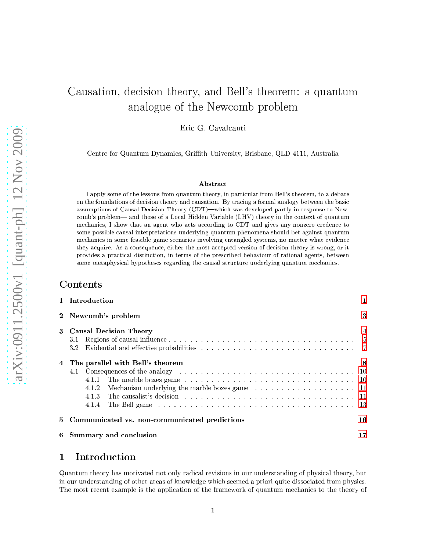# Causation, decision theory, and Bell's theorem: a quantum analogue of the New
omb problem

Eri G. Caval
anti

Centre for Quantum Dynami
s, Grith University, Brisbane, QLD 4111, Australia

#### Abstra
t

I apply some of the lessons from quantum theory, in parti
ular from Bell's theorem, to a debate on the foundations of decision theory and causation. By tracing a formal analogy between the basic assumptions of Causal Decision Theory (CDT)—which was developed partly in response to Newcomb's problem— and those of a Local Hidden Variable (LHV) theory in the context of quantum mechanics, I show that an agent who acts according to CDT and gives any nonzero credence to some possible ausal interpretations underlying quantum phenomena should bet against quantum me
hani
s in some feasible game s
enarios involving entangled systems, no matter what eviden
e they acquire. As a consequence, either the most accepted version of decision theory is wrong, or it provides a pra
ti
al distin
tion, in terms of the pres
ribed behaviour of rational agents, between some metaphysical hypotheses regarding the causal structure underlying quantum mechanics.

# Contents

| 1 Introduction                                                                                                                                                                                                                                                                                                              |                         |  |
|-----------------------------------------------------------------------------------------------------------------------------------------------------------------------------------------------------------------------------------------------------------------------------------------------------------------------------|-------------------------|--|
| 2 Newcomb's problem                                                                                                                                                                                                                                                                                                         |                         |  |
| 3 Causal Decision Theory<br>3.1<br>3.2                                                                                                                                                                                                                                                                                      | $\overline{\mathbf{4}}$ |  |
| 4 The parallel with Bell's theorem<br>4.1 Consequences of the analogy contract the contract of the analogy of the analogy and the contract of the analogy of the state of the state of the analogy of the state of the state of the state of the state of the state<br>4.1.2 Mechanism underlying the marble boxes game  11 |                         |  |
| 5 Communicated vs. non-communicated predictions                                                                                                                                                                                                                                                                             | 16                      |  |
| 6 Summary and conclusion                                                                                                                                                                                                                                                                                                    | 17                      |  |

# <span id="page-0-0"></span>1 Introduction

Quantum theory has motivated not only radical revisions in our understanding of physical theory, but in our understanding of other areas of knowledge which seemed a priori quite dissociated from physics. The most recent example is the application of the framework of quantum mechanics to the theory of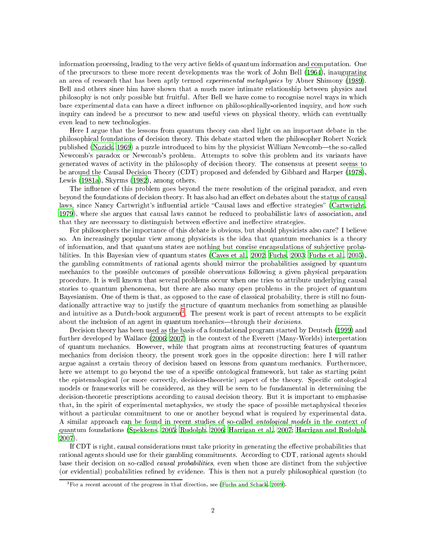information processing, leading to the very active fields of quantum information and computation. One of the pre
ursors to these more re
ent developments was the work of John Bell [\(1964](#page-17-0)), inaugurating an area of resear
h that has been aptly termed experimental metaphysi
s by Abner Shimony [\(1989\)](#page-18-0). Bell and others sin
e him have shown that a mu
h more intimate relationship between physi
s and philosophy is not only possible but fruitful. After Bell we have come to recognise novel ways in which bare experimental data can have a direct influence on philosophically-oriented inquiry, and how such inquiry can indeed be a precursor to new and useful views on physical theory, which can eventually even lead to new te
hnologies.

Here I argue that the lessons from quantum theory an shed light on an important debate in the philosophical foundations of decision theory. This debate started when the philosopher Robert Nozick published (Nozick, [1969\)](#page-18-1) a puzzle introduced to him by the physicist William Newcomb—the so-called New
omb's paradox or New
omb's problem. Attempts to solve this problem and its variants have generated waves of a
tivity in the philosophy of de
ision theory. The onsensus at present seems to be around the Causal Decision Theory (CDT) proposed and defended by Gibbard and Harper [\(1978\)](#page-18-2), Lewis [\(1981a\)](#page-18-3), Skyrms [\(1982\)](#page-18-4), among others.

The influence of this problem goes beyond the mere resolution of the original paradox, and even beyond the foundations of decision theory. It has also had an effect on debates about the status of causal laws, since Nancy Cartwright's influential article "Causal laws and effective strategies" [\(Cartwright](#page-17-1), [1979\)](#page-17-1), where she argues that causal laws cannot be reduced to probabilistic laws of association, and that they are necessary to distinguish between effective and ineffective strategies.

For philosophers the importance of this debate is obvious, but should physicists also care? I believe so. An increasingly popular view among physicists is the idea that quantum mechanics is a theory of information, and that quantum states are nothing but concise encapsulations of subjective proba-bilities. In this Bayesian view of quantum states [\(Caves](#page-17-2) et al., [2002;](#page-17-2) Fuchs, [2003;](#page-18-5) Fuchs et al., [2005\)](#page-18-6), the gambling ommitments of rational agents should mirror the probabilities assigned by quantum mechanics to the possible outcomes of possible observations following a given physical preparation procedure. It is well known that several problems occur when one tries to attribute underlying causal stories to quantum phenomena, but there are also many open problems in the project of quantum Bayesianism. One of them is that, as opposed to the case of classical probability, there is still no foundationally attractive way to justify the structure of quantum mechanics from something as plausible and intuitive as a Dutch-book argument". The present work is part of recent attempts to be explicit about the inclusion of an agent in quantum mechanics—through their *decisions*.

Decision theory has been used as the basis of a foundational program started by Deutsch [\(1999\)](#page-17-3) and further developed by Wallace [\(2006;](#page-18-7) [2007](#page-19-0)) in the context of the Everett (Many-Worlds) interpretation of quantum mechanics. However, while that program aims at reconstructing features of quantum me
hani
s from de
ision theory, the present work goes in the opposite dire
tion: here I will rather argue against a ertain theory of de
ision based on lessons from quantum me
hani
s. Furthermore, here we attempt to go beyond the use of a specific ontological framework, but take as starting point the epistemological (or more correctly, decision-theoretic) aspect of the theory. Specific ontological models or frameworks will be onsidered, as they will be seen to be fundamental in determining the decision-theoretic prescriptions according to causal decision theory. But it is important to emphasise that, in the spirit of experimental metaphysi
s, we study the spa
e of possible metaphysi
al theories without a particular commitment to one or another beyond what is required by experimental data. A similar approach can be found in recent studies of so-called *ontological models* in the context of quantum foundations [\(Spekkens,](#page-18-8) [2005](#page-18-8); [Rudolph,](#page-18-9) [2006;](#page-18-9) [Harrigan](#page-18-10) et al., [2007;](#page-18-10) [Harrigan](#page-18-11) and Rudolph, [2007\)](#page-18-11).

If CDT is right, causal considerations must take priority in generating the effective probabilities that rational agents should use for their gambling commitments. According to CDT, rational agents should base their decision on so-called *causal probabilities*, even when those are distinct from the subjective (or evidential) probabilities refined by evidence. This is then not a purely philosophical question (to

<span id="page-1-0"></span><sup>-</sup> For a recent account of the progress in that direction, see (Fuchs and Schack, [2009\)](#page-18-12).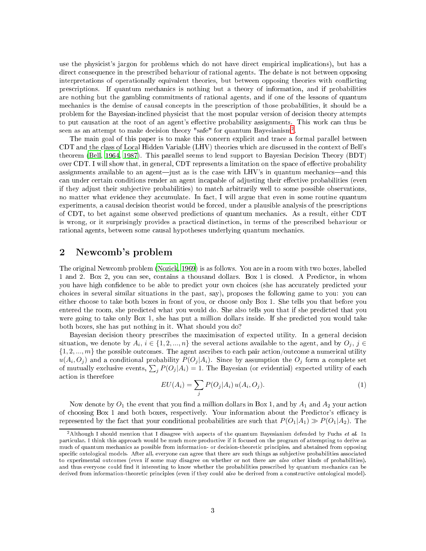use the physicist's jargon for problems which do not have direct empirical implications), but has a direct consequence in the prescribed behaviour of rational agents. The debate is not between opposing interpretations of operationally equivalent theories, but between opposing theories with conflicting pres
riptions. If quantum me
hani
s is nothing but a theory of information, and if probabilities are nothing but the gambling ommitments of rational agents, and if one of the lessons of quantum mechanics is the demise of causal concepts in the prescription of those probabilities, it should be a problem for the Bayesian-in
lined physi
ist that the most popular version of de
ision theory attempts to put causation at the root of an agent's effective probability assignments. This work can thus be seen as an attempt to make decision theory "safe" for quantum Bayesianism".

The main goal of this paper is to make this concern explicit and trace a formal parallel between CDT and the lass of Lo
al Hidden Variable (LHV) theories whi
h are dis
ussed in the ontext of Bell's theorem [\(Bell,](#page-17-0) [1964](#page-17-0), [1987\)](#page-17-4). This parallel seems to lend support to Bayesian Decision Theory (BDT) over CDT. I will show that, in general, CDT represents a limitation on the space of effective probability assignments available to an agent—just as is the case with LHV's in quantum mechanics—and this can under certain conditions render an agent incapable of adjusting their effective probabilities (even if they adjust their sub je
tive probabilities) to mat
h arbitrarily well to some possible observations, no matter what evidence they accumulate. In fact, I will argue that even in some routine quantum experiments, a causal decision theorist would be forced, under a plausible analysis of the prescriptions of CDT, to bet against some observed predictions of quantum mechanics. As a result, either CDT is wrong, or it surprisingly provides a practical distinction, in terms of the prescribed behaviour or rational agents, between some causal hypotheses underlying quantum mechanics.

# <span id="page-2-0"></span><sup>2</sup> New
omb's problem

The original New
omb problem [\(Nozi
k,](#page-18-1) [1969\)](#page-18-1) is as follows. You are in a room with two boxes, labelled 1 and 2. Box 2, you can see, contains a thousand dollars. Box 1 is closed. A Predictor, in whom you have high confidence to be able to predict your own choices (she has accurately predicted your choices in several similar situations in the past, say), proposes the following game to you: you can either choose to take both boxes in front of you, or choose only Box 1. She tells you that before you entered the room, she predicted what you would do. She also tells you that if she predicted that you were going to take only Box 1, she has put a million dollars inside. If she predicted you would take both boxes, she has put nothing in it. What should you do?

Bayesian decision theory prescribes the maximisation of expected utility. In a general decision situation, we denote by  $A_i$ ,  $i \in \{1, 2, ..., n\}$  the several actions available to the agent, and by  $O_j$ ,  $j \in$  $\{1, 2, ..., m\}$  the possible outcomes. The agent ascribes to each pair action/outcome a numerical utility  $u(A_i, O_j)$  and a conditional probability  $P(O_j|A_i)$ . Since by assumption the  $O_j$  form a complete set of mutually exclusive events,  $\sum_{j} P(O_j | A_i) = 1$ . The Bayesian (or evidential) expected utility of each a
tion is therefore

<span id="page-2-2"></span>
$$
EU(A_i) = \sum_j P(O_j|A_i) u(A_i, O_j).
$$
\n<sup>(1)</sup>

Now denote by  $O_1$  the event that you find a million dollars in Box 1, and by  $A_1$  and  $A_2$  your action of choosing Box 1 and both boxes, respectively. Your information about the Predictor's efficacy is represented by the fact that your conditional probabilities are such that  $P(O_1|A_1) \gg P(O_1|A_2)$ . The

<span id="page-2-1"></span><sup>&</sup>lt;sup>2</sup> Although I should mention that I disagree with aspects of the quantum Bayesianism defended by Fuchs *et al.* In particular, I think this approach would be much more productive if it focused on the program of attempting to derive as much of quantum mechanics as possible from information- or decision-theoretic principles, and abstained from opposing specific ontological models. After all, everyone can agree that there are such things as subjective probabilities associated to experimental outcomes (even if some may disagree on whether or not there are also other kinds of probabilities), and thus everyone could find it interesting to know whether the probabilities prescribed by quantum mechanics can be derived from information-theoretic principles (even if they could also be derived from a constructive ontological model).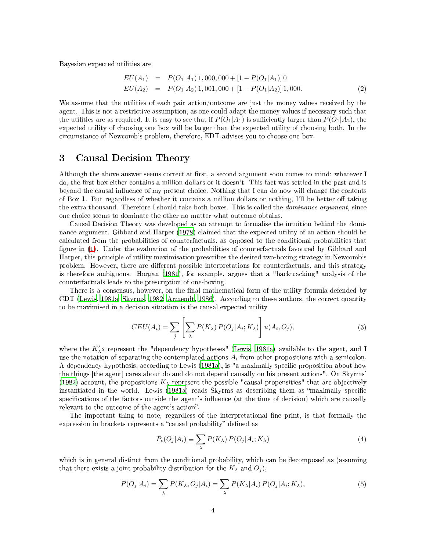Bayesian expe
ted utilities are

$$
EU(A_1) = P(O_1|A_1) 1,000,000 + [1 - P(O_1|A_1)] 0
$$
  
\n
$$
EU(A_2) = P(O_1|A_2) 1,001,000 + [1 - P(O_1|A_2)] 1,000.
$$
 (2)

We assume that the utilities of each pair action/outcome are just the money values received by the agent. This is not a restrictive assumption, as one could adapt the money values if necessary such that the utilities are as required. It is easy to see that if  $P(O_1|A_1)$  is sufficiently larger than  $P(O_1|A_2)$ , the expe
ted utility of hoosing one box will be larger than the expe
ted utility of hoosing both. In the ir
umstan
e of New
omb's problem, therefore, EDT advises you to hoose one box.

# <span id="page-3-0"></span>3 Causal Decision Theory

Although the above answer seems correct at first, a second argument soon comes to mind: whatever I do, the first box either contains a million dollars or it doesn't. This fact was settled in the past and is beyond the causal influence of my present choice. Nothing that I can do now will change the contents of Box 1. But regardless of whether it contains a million dollars or nothing, I'll be better off taking the extra thousand. Therefore I should take both boxes. This is called the *dominance argument*, since one hoi
e seems to dominate the other no matter what out
ome obtains.

Causal Decision Theory was developed as an attempt to formalise the intuition behind the dominan
e argument. Gibbard and Harper [\(1978\)](#page-18-2) laimed that the expe
ted utility of an a
tion should be al
ulated from the probabilities of ounterfa
tuals, as opposed to the onditional probabilities that figure in [\(1\)](#page-2-2). Under the evaluation of the probabilities of counterfactuals favoured by Gibbard and Harper, this principle of utility maximisation prescribes the desired two-boxing strategy in Newcomb's problem. However, there are different possible interpretations for counterfactuals, and this strategy is therefore ambiguous. Horgan [\(1981\)](#page-18-13), for example, argues that a "backtracking" analysis of the ounterfa
tuals leads to the pres
ription of one-boxing.

There is a consensus, however, on the final mathematical form of the utility formula defended by CDT [\(Lewis,](#page-18-3) [1981a;](#page-18-3) [Skyrms](#page-18-4), [1982](#page-18-4); [Armendt](#page-17-5), [1986\)](#page-17-5). According to these authors, the correct quantity to be maximised in a decision situation is the causal expected utility

<span id="page-3-2"></span>
$$
CEU(A_i) = \sum_{j} \left[ \sum_{\lambda} P(K_{\lambda}) P(O_j | A_i; K_{\lambda}) \right] u(A_i, O_j), \tag{3}
$$

where the  $K'_{\lambda}s$  represent the "dependency hypotheses" [\(Lewis,](#page-18-3) [1981a\)](#page-18-3) available to the agent, and I use the notation of separating the contemplated actions  $A_i$  from other propositions with a semicolon. A dependency hypothesis, according to Lewis [\(1981a\)](#page-18-3), is "a maximally specific proposition about how the things [the agent] cares about do and do not depend causally on his present actions". On Skyrms' [\(1982\)](#page-18-4) account, the propositions  $K_{\lambda}$  represent the possible "causal propensities" that are objectively instantiated in the world. Lewis (1981a) reads Skyrms as describing them as "maximally specific specifications of the factors outside the agent's influence (at the time of decision) which are causally relevant to the outcome of the agent's action".

The important thing to note, regardless of the interpretational fine print, is that formally the expression in brackets represents a "causal probability" defined as

<span id="page-3-3"></span>
$$
P_c(O_j|A_i) \equiv \sum_{\lambda} P(K_{\lambda}) P(O_j|A_i; K_{\lambda})
$$
\n(4)

which is in general distinct from the conditional probability, which can be decomposed as (assuming that there exists a joint probability distribution for the  $K_{\lambda}$  and  $O_j$ ),

<span id="page-3-1"></span>
$$
P(O_j|A_i) = \sum_{\lambda} P(K_{\lambda}, O_j|A_i) = \sum_{\lambda} P(K_{\lambda}|A_i) P(O_j|A_i; K_{\lambda}),
$$
\n(5)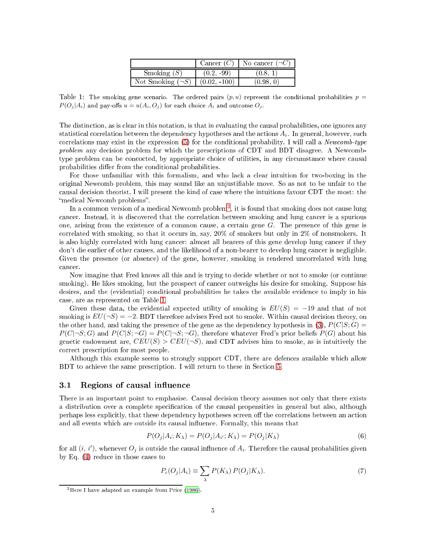|                        | Cancer $(C)$   | No cancer $(\neg C)$ |
|------------------------|----------------|----------------------|
| Smoking $(S)$          | $(0.2, -99)$   |                      |
| Not Smoking $(\neg S)$ | $(0.02, -100)$ | (0.98, 0)            |

<span id="page-4-2"></span>Table 1: The smoking gene scenario. The ordered pairs  $(p, u)$  represent the conditional probabilities  $p =$  $P(O_i|A_i)$  and pay-offs  $u = u(A_i, O_j)$  for each choice  $A_i$  and outcome  $O_j$ .

The distinction, as is clear in this notation, is that in evaluating the causal probabilities, one ignores any statistical correlation between the dependency hypotheses and the actions  $A_i$ . In general, however, such correlations may exist in the expression  $(5)$  for the conditional probability. I will call a *Newcomb-type* problem any decision problem for which the prescriptions of CDT and BDT disagree. A Newcombtype problem can be concocted, by appropriate choice of utilities, in any circumstance where causal probabilities differ from the conditional probabilities.

For those unfamiliar with this formalism, and who lack a clear intuition for two-boxing in the original New
omb problem, this may sound like an unjustiable move. So as not to be unfair to the causal decision theorist, I will present the kind of case where the intuitions favour CDT the most: the "medical Newcomb problems".

In a common version of a medical Newcomb problem", it is found that smoking does not cause fung an
er. Instead, it is dis
overed that the orrelation between smoking and lung an
er is a spurious one, arising from the existence of a common cause, a certain gene  $G$ . The presence of this gene is correlated with smoking, so that it occurs in, say,  $20\%$  of smokers but only in  $2\%$  of nonsmokers. It is also highly correlated with lung cancer: almost all bearers of this gene develop lung cancer if they don't die earlier of other causes, and the likelihood of a non-bearer to develop lung cancer is negligible. Given the presence (or absence) of the gene, however, smoking is rendered uncorrelated with lung an
er.

Now imagine that Fred knows all this and is trying to decide whether or not to smoke (or continue smoking). He likes smoking, but the prospect of cancer outweighs his desire for smoking. Suppose his desires, and the (evidential) onditional probabilities he takes the available eviden
e to imply in his ase, are as represented on Table [1.](#page-4-2)

Given these data, the evidential expected utility of smoking is  $EU(S) = -19$  and that of not smoking is  $EU(\neg S) = -2$ . BDT therefore advises Fred not to smoke. Within causal decision theory, on the other hand, and taking the presence of the gene as the dependency hypothesis in [\(3\)](#page-3-2),  $P(C|S;G)$  $P(C|\neg S;G)$  and  $P(C|S;\neg G) = P(C|\neg S;\neg G)$ , therefore whatever Fred's prior beliefs  $P(G)$  about his genetic endowment are,  $CEU(S) > CEU(\neg S)$ , and CDT advises him to smoke, as is intuitively the orre
t pres
ription for most people.

Although this example seems to strongly support CDT, there are defen
es available whi
h allow BDT to achieve the same prescription. I will return to these in Section [5.](#page-15-0)

#### <span id="page-4-0"></span>3.1 Regions of causal influence

There is an important point to emphasise. Causal decision theory assumes not only that there exists a distribution over a complete specification of the causal propensities in general but also, although perhaps less explicitly, that these dependency hypotheses screen off the correlations between an action and all events which are outside its causal influence. Formally, this means that

<span id="page-4-3"></span>
$$
P(O_j|A_i; K_\lambda) = P(O_j|A_{i'}; K_\lambda) = P(O_j|K_\lambda)
$$
\n<sup>(6)</sup>

for all  $(i, i')$ , whenever  $O_j$  is outside the causal influence of  $A_i$ . Therefore the causal probabilities given by Eq. [\(4\)](#page-3-3) redu
e in those ases to

<span id="page-4-4"></span>
$$
P_c(O_j|A_i) \equiv \sum_{\lambda} P(K_{\lambda}) P(O_j|K_{\lambda}).
$$
\n(7)

<span id="page-4-1"></span><sup>&</sup>lt;sup>3</sup> Here I have adapted an example from Price [\(1986\)](#page-18-14).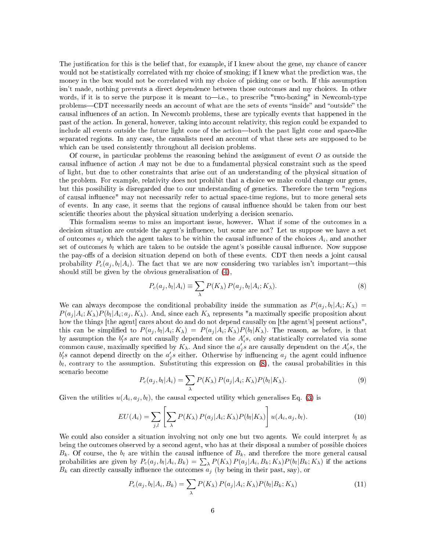The justification for this is the belief that, for example, if I knew about the gene, my chance of cancer would not be statistically correlated with my choice of smoking; if I knew what the prediction was, the money in the box would not be correlated with my choice of picking one or both. If this assumption isn't made, nothing prevents a dire
t dependen
e between those out
omes and my hoi
es. In other words, if it is to serve the purpose it is meant to-i.e., to prescribe "two-boxing" in Newcomb-type problems—CDT necessarily needs an account of what are the sets of events "inside" and "outside" the causal influences of an action. In Newcomb problems, these are typically events that happened in the past of the action. In general, however, taking into account relativity, this region could be expanded to include all events outside the future light cone of the action—both the past light cone and space-like separated regions. In any case, the causalists need an account of what these sets are supposed to be which can be used consistently throughout all decision problems.

Of course, in particular problems the reasoning behind the assignment of event  $O$  as outside the causal influence of action A may not be due to a fundamental physical constraint such as the speed of light, but due to other onstraints that arise out of an understanding of the physi
al situation of the problem. For example, relativity does not prohibit that a hoi
e we make ould hange our genes, but this possibility is disregarded due to our understanding of geneti
s. Therefore the term "regions of causal influence" may not necessarily refer to actual space-time regions, but to more general sets of events. In any case, it seems that the regions of causal influence should be taken from our best scientific theories about the physical situation underlying a decision scenario.

This formalism seems to miss an important issue, however. What if some of the outcomes in a decision situation are outside the agent's influence, but some are not? Let us suppose we have a set of outcomes  $a_j$  which the agent takes to be within the causal influence of the choices  $A_i$ , and another set of outcomes  $b_l$  which are taken to be outside the agent's possible causal influence. Now suppose the pay-offs of a decision situation depend on both of these events. CDT then needs a joint causal probability  $P_c(a_j, b_l | A_i)$ . The fact that we are now considering two variables isn't important—this should still be given by the obvious generalisation of [\(4\)](#page-3-3),

<span id="page-5-0"></span>
$$
P_c(a_j, b_l | A_i) \equiv \sum_{\lambda} P(K_{\lambda}) P(a_j, b_l | A_i; K_{\lambda}).
$$
\n(8)

We can always decompose the conditional probability inside the summation as  $P(a_j, b_l | A_i; K_\lambda) =$  $P(a_j | A_i; K_\lambda) P(b_l | A_i; a_j, K_\lambda)$ . And, since each  $K_\lambda$  represents "a maximally specific proposition about how the things [the agent] cares about do and do not depend causally on [the agent's] present actions", this can be simplified to  $P(a_j, b_l | A_i; K_\lambda) = P(a_j | A_i; K_\lambda) P(b_l | K_\lambda)$ . The reason, as before, is that by assumption the  $b_i$ 's are not causally dependent on the  $A_i$ 's, only statistically correlated via some common cause, maximally specified by  $K_{\lambda}$ . And since the  $a'_{j}s$  are causally dependent on the  $A'_{i}s$ , the  $b'_l$ ls cannot depend directly on the  $a_j's$  either. Otherwise by influencing  $a_j$  the agent could influence  $b_l$ , contrary to the assumption. Substituting this expression on  $(8)$ , the causal probabilities in this s
enario be
ome

<span id="page-5-1"></span>
$$
P_c(a_j, b_l | A_i) = \sum_{\lambda} P(K_{\lambda}) P(a_j | A_i; K_{\lambda}) P(b_l | K_{\lambda}).
$$
\n(9)

Given the utilities  $u(A_i, a_j, b_l)$ , the causal expected utility which generalises Eq. [\(3\)](#page-3-2) is

$$
EU(A_i) = \sum_{j,l} \left[ \sum_{\lambda} P(K_{\lambda}) P(a_j | A_i; K_{\lambda}) P(b_l | K_{\lambda}) \right] u(A_i, a_j, b_l).
$$
 (10)

We could also consider a situation involving not only one but two agents. We could interpret  $b_l$  as being the outcomes observed by a second agent, who has at their disposal a number of possible choices  $B_k$ . Of course, the  $b_l$  are within the causal influence of  $B_k$ , and therefore the more general causal probabilities are given by  $P_c(a_j, b_l | A_i, B_k) = \sum_{\lambda} P(K_{\lambda}) P(a_j | A_i, B_k; K_{\lambda}) P(b_l | B_k; K_{\lambda})$  if the actions  $B_k$  can directly causally influence the outcomes  $a_i$  (by being in their past, say), or

<span id="page-5-2"></span>
$$
P_c(a_j, b_l | A_i, B_k) = \sum_{\lambda} P(K_{\lambda}) P(a_j | A_i; K_{\lambda}) P(b_l | B_k; K_{\lambda})
$$
\n(11)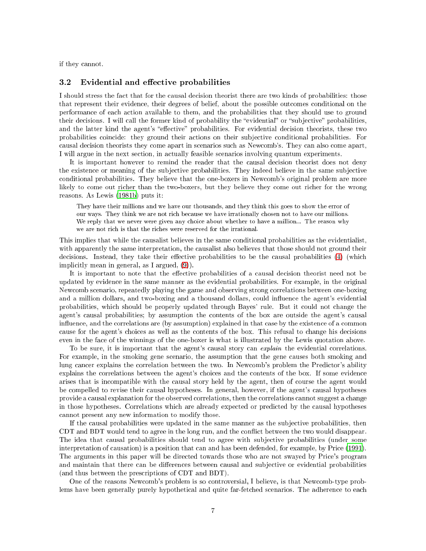<span id="page-6-0"></span>if they annot.

### 3.2 Evidential and effective probabilities

I should stress the fact that for the causal decision theorist there are two kinds of probabilities: those that represent their eviden
e, their degrees of belief, about the possible out
omes onditional on the performan
e of ea
h a
tion available to them, and the probabilities that they should use to ground their decisions. I will call the former kind of probability the "evidential" or "subjective" probabilities, and the latter kind the agent's "effective" probabilities. For evidential decision theorists, these two probabilities coincide: they ground their actions on their subjective conditional probabilities. For causal decision theorists they come apart in scenarios such as Newcomb's. They can also come apart, I will argue in the next se
tion, in a
tually feasible s
enarios involving quantum experiments.

It is important however to remind the reader that the causal decision theorist does not deny the existence or meaning of the subjective probabilities. They indeed believe in the same subjective onditional probabilities. They believe that the one-boxers in New
omb's original problem are more likely to come out richer than the two-boxers, but they believe they come out richer for the wrong reasons. As Lewis [\(1981b\)](#page-18-15) puts it:

They have their millions and we have our thousands, and they think this goes to show the error of our ways. They think we are not rich because we have irrationally chosen not to have our millions. We reply that we never were given any choice about whether to have a million... The reason why we are not ri
h is that the ri
hes were reserved for the irrational.

This implies that while the ausalist believes in the same onditional probabilities as the evidentialist, with apparently the same interpretation, the causalist also believes that those should not ground their decisions. Instead, they take their effective probabilities to be the causal probabilities [\(4\)](#page-3-3) (which implicitly mean in general, as I argued, [\(9\)](#page-5-1).

It is important to note that the effective probabilities of a causal decision theorist need not be updated by eviden
e in the same manner as the evidential probabilities. For example, in the original Newcomb scenario, repeatedly playing the game and observing strong correlations between one-boxing and a million dollars, and two-boxing and a thousand dollars, could influence the agent's evidential probabilities, whi
h should be properly updated through Bayes' rule. But it ould not hange the agent's causal probabilities; by assumption the contents of the box are outside the agent's causal influence, and the correlations are (by assumption) explained in that case by the existence of a common cause for the agent's choices as well as the contents of the box. This refusal to change his decisions even in the fa
e of the winnings of the one-boxer is what is illustrated by the Lewis quotation above.

To be sure, it is important that the agent's causal story can *explain* the evidential correlations. For example, in the smoking gene scenario, the assumption that the gene causes both smoking and lung cancer explains the correlation between the two. In Newcomb's problem the Predictor's ability explains the correlations between the agent's choices and the contents of the box. If some evidence arises that is in
ompatible with the ausal story held by the agent, then of ourse the agent would be compelled to revise their causal hypotheses. In general, however, if the agent's causal hypotheses provide a causal explanation for the observed correlations, then the correlations cannot suggest a change in those hypotheses. Correlations whi
h are already expe
ted or predi
ted by the ausal hypotheses annot present any new information to modify those.

If the causal probabilities were updated in the same manner as the subjective probabilities, then CDT and BDT would tend to agree in the long run, and the conflict between the two would disappear. The idea that causal probabilities should tend to agree with subjective probabilities (under some interpretation of causation) is a position that can and has been defended, for example, by Price [\(1991\)](#page-18-16). The arguments in this paper will be dire
ted towards those who are not swayed by Pri
e's program and maintain that there can be differences between causal and subjective or evidential probabilities (and thus between the pres
riptions of CDT and BDT).

One of the reasons New
omb's problem is so ontroversial, I believe, is that New
omb-type problems have been generally purely hypothetical and quite far-fetched scenarios. The adherence to each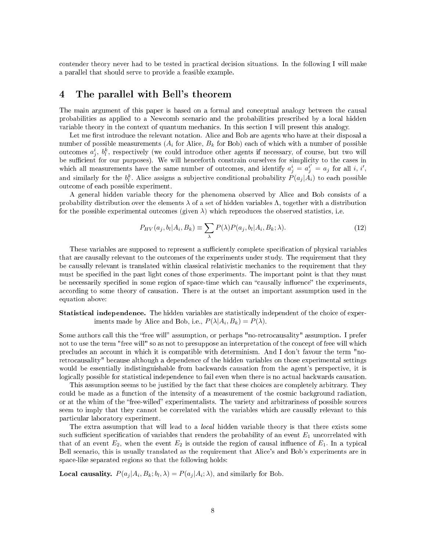contender theory never had to be tested in practical decision situations. In the following I will make a parallel that should serve to provide a feasible example.

## <span id="page-7-0"></span><sup>4</sup> The parallel with Bell's theorem

The main argument of this paper is based on a formal and conceptual analogy between the causal probabilities as applied to a New
omb s
enario and the probabilities pres
ribed by a lo
al hidden variable theory in the context of quantum mechanics. In this section I will present this analogy.

Let me first introduce the relevant notation. Alice and Bob are agents who have at their disposal a number of possible measurements  $(A_i$  for Alice,  $B_k$  for Bob) each of which with a number of possible outcomes  $a_j^i$ ,  $b_l^k$ , respectively (we could introduce other agents if necessary, of course, but two will be sufficient for our purposes). We will henceforth constrain ourselves for simplicity to the cases in which all measurements have the same number of outcomes, and identify  $a_j^i = a_j^{i'} = a_j$  for all i, i', and similarly for the  $b_l^k$ . Alice assigns a subjective conditional probability  $P(a_j | A_i)$  to each possible out
ome of ea
h possible experiment.

A general hidden variable theory for the phenomena observed by Ali
e and Bob onsists of a probability distribution over the elements  $\lambda$  of a set of hidden variables  $\Lambda$ , together with a distribution for the possible experimental outcomes (given  $\lambda$ ) which reproduces the observed statistics, i.e.

<span id="page-7-1"></span>
$$
P_{HV}(a_j, b_l | A_i, B_k) \equiv \sum_{\lambda} P(\lambda) P(a_j, b_l | A_i, B_k; \lambda).
$$
\n(12)

These variables are supposed to represent a sufficiently complete specification of physical variables that are ausally relevant to the out
omes of the experiments under study. The requirement that they be causally relevant is translated within classical relativistic mechanics to the requirement that they must be specified in the past light cones of those experiments. The important point is that they must be necessarily specified in some region of space-time which can "causally influence" the experiments, according to some theory of causation. There is at the outset an important assumption used in the equation above:

# Statistical independence. The hidden variables are statistically independent of the choice of experiments made by Alice and Bob, i.e.,  $P(\lambda|A_i, B_k) = P(\lambda)$ .

Some authors call this the "free will" assumption, or perhaps "no-retrocausality" assumption. I prefer not to use the term "free will" so as not to presuppose an interpretation of the concept of free will which precludes an account in which it is compatible with determinism. And I don't favour the term "noretro
ausality" be
ause although a dependen
e of the hidden variables on those experimental settings would be essentially indistinguishable from backwards causation from the agent's perspective, it is logically possible for statistical independence to fail even when there is no actual backwards causation.

This assumption seems to be justified by the fact that these choices are completely arbitrary. They could be made as a function of the intensity of a measurement of the cosmic background radiation, or at the whim of the "free-willed" experimentalists. The variety and arbitrariness of possible sources seem to imply that they cannot be correlated with the variables which are causally relevant to this parti
ular laboratory experiment.

The extra assumption that will lead to a *local* hidden variable theory is that there exists some such sufficient specification of variables that renders the probability of an event  $E_1$  uncorrelated with that of an event  $E_2$ , when the event  $E_2$  is outside the region of causal influence of  $E_1$ . In a typical Bell s
enario, this is usually translated as the requirement that Ali
e's and Bob's experiments are in spa
e-like separated regions so that the following holds:

**Local causality.**  $P(a_j|A_i, B_k; b_l, \lambda) = P(a_j|A_i; \lambda)$ , and similarly for Bob.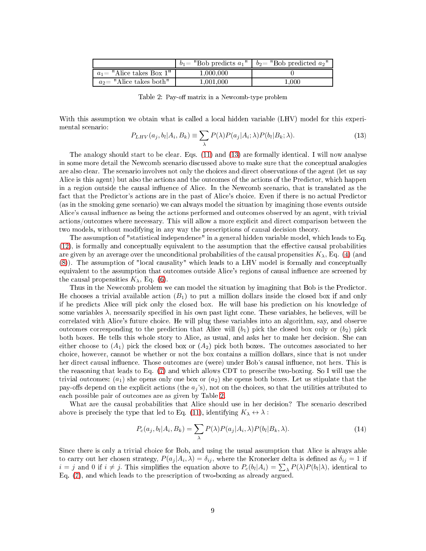|                             |           | $b_1$ = "Bob predicts $a_1$ "   $b_2$ = "Bob predicted $a_2$ " |
|-----------------------------|-----------|----------------------------------------------------------------|
| $a_1$ = "Alice takes Box 1" | 1.000.000 |                                                                |
| $a_2$ = "Alice takes both"  | 1.001.000 | $1.000\,$                                                      |

<span id="page-8-1"></span>Table 2: Pay-off matrix in a Newcomb-type problem

With this assumption we obtain what is called a local hidden variable (LHV) model for this experimental s
enario:

<span id="page-8-0"></span>
$$
P_{LHV}(a_j, b_l|A_i, B_k) \equiv \sum_{\lambda} P(\lambda) P(a_j|A_i; \lambda) P(b_l|B_k; \lambda).
$$
\n(13)

The analogy should start to be clear. Eqs. [\(11\)](#page-5-2) and [\(13\)](#page-8-0) are formally identical. I will now analyse in some more detail the Newcomb scenario discussed above to make sure that the conceptual analogies are also lear. The s
enario involves not only the hoi
es and dire
t observations of the agent (let us say Alice is this agent) but also the actions and the outcomes of the actions of the Predictor, which happen in a region outside the causal influence of Alice. In the Newcomb scenario, that is translated as the fact that the Predictor's actions are in the past of Alice's choice. Even if there is no actual Predictor (as in the smoking gene s
enario) we an always model the situation by imagining those events outside Alice's causal influence as being the actions performed and outcomes observed by an agent, with trivial actions/outcomes where necessary. This will allow a more explicit and direct comparison between the two models, without modifying in any way the prescriptions of causal decision theory.

The assumption of "statistical independence" in a general hidden variable model, which leads to Eq. [\(12\)](#page-7-1), is formally and conceptually equivalent to the assumption that the effective causal probabilities are given by an average over the unconditional probabilities of the causal propensities  $K_{\lambda}$ , Eq. [\(4\)](#page-3-3) (and [\(8\)](#page-5-0)). The assumption of "lo
al ausality" whi
h leads to a LHV model is formally and on
eptually equivalent to the assumption that outcomes outside Alice's regions of causal influence are screened by the causal propensities  $K_{\lambda}$ , Eq. [\(6\)](#page-4-3).

Thus in the Newcomb problem we can model the situation by imagining that Bob is the Predictor. He chooses a trivial available action  $(B_1)$  to put a million dollars inside the closed box if and only if he predi
ts Ali
e will pi
k only the losed box. He will base his predi
tion on his knowledge of some variables  $\lambda$ , necessarily specified in his own past light cone. These variables, he believes, will be orrelated with Ali
e's future hoi
e. He will plug these variables into an algorithm, say, and observe outcomes corresponding to the prediction that Alice will  $(b_1)$  pick the closed box only or  $(b_2)$  pick both boxes. He tells this whole story to Alice, as usual, and asks her to make her decision. She can either choose to  $(A_1)$  pick the closed box or  $(A_2)$  pick both boxes. The outcomes associated to her hoi
e, however, annot be whether or not the box ontains a million dollars, sin
e that is not under her direct causal influence. Those outcomes are (were) under Bob's causal influence, not hers. This is the reasoning that leads to Eq. [\(7\)](#page-4-4) and whi
h allows CDT to pres
ribe two-boxing. So I will use the trivial outcomes:  $(a_1)$  she opens only one box or  $(a_2)$  she opens both boxes. Let us stipulate that the pay-offs depend on the explicit actions (the  $a_j$ 's), not on the choices, so that the utilities attributed to ea
h possible pair of out
omes are as given by Table [2.](#page-8-1)

What are the causal probabilities that Alice should use in her decision? The scenario described above is precisely the type that led to Eq. [\(11\)](#page-5-2), identifying  $K_{\lambda} \leftrightarrow \lambda$ :

$$
P_c(a_j, b_l | A_i, B_k) = \sum_{\lambda} P(\lambda) P(a_j | A_i, \lambda) P(b_l | B_k, \lambda).
$$
\n(14)

Since there is only a trivial choice for Bob, and using the usual assumption that Alice is always able to carry out her chosen strategy,  $P(a_j|A_i,\lambda) = \delta_{ij}$ , where the Kronecker delta is defined as  $\delta_{ij} = 1$  if  $i = j$  and 0 if  $i \neq j$ . This simplifies the equation above to  $P_c(b_l|A_i) = \sum_{\lambda} P(\lambda) P(b_l|\lambda)$ , identical to Eq. [\(7\)](#page-4-4), and whi
h leads to the pres
ription of two-boxing as already argued.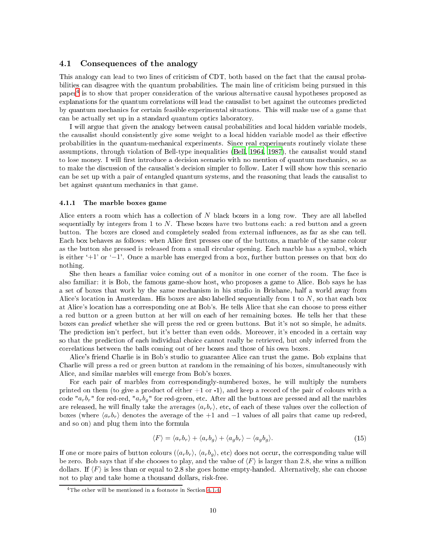### <span id="page-9-0"></span>4.1 Consequen
es of the analogy

This analogy can lead to two lines of criticism of CDT, both based on the fact that the causal probabilities can disagree with the quantum probabilities. The main line of criticism being pursued in this pape[r4](#page-9-2) is to show that proper onsideration of the various alternative ausal hypotheses proposed as explanations for the quantum orrelations will lead the ausalist to bet against the out
omes predi
ted by quantum me
hani
s for ertain feasible experimental situations. This will make use of a game that an be a
tually set up in a standard quantum opti
s laboratory.

I will argue that given the analogy between ausal probabilities and lo
al hidden variable models, the causalist should consistently give some weight to a local hidden variable model as their effective probabilities in the quantum-me
hani
al experiments. Sin
e real experiments routinely violate these assumptions, through violation of Bell-type inequalities [\(Bell,](#page-17-0) [1964,](#page-17-0) [1987](#page-17-4)), the ausalist would stand to lose money. I will first introduce a decision scenario with no mention of quantum mechanics, so as to make the discussion of the causalist's decision simpler to follow. Later I will show how this scenario can be set up with a pair of entangled quantum systems, and the reasoning that leads the causalist to bet against quantum me
hani
s in that game.

#### <span id="page-9-1"></span>4.1.1 The marble boxes game

Alice enters a room which has a collection of N black boxes in a long row. They are all labelled sequentially by integers from 1 to  $N$ . These boxes have two buttons each: a red button and a green button. The boxes are closed and completely sealed from external influences, as far as she can tell. Each box behaves as follows: when Alice first presses one of the buttons, a marble of the same colour as the button she pressed is released from a small circular opening. Each marble has a symbol, which is either  $\pm 1$ ' or  $\pm 1$ '. Once a marble has emerged from a box, further button presses on that box do nothing.

She then hears a familiar voice coming out of a monitor in one corner of the room. The face is also familiar: it is Bob, the famous game-show host, who proposes a game to Ali
e. Bob says he has a set of boxes that work by the same me
hanism in his studio in Brisbane, half a world away from Alice's location in Amsterdam. His boxes are also labelled sequentially from 1 to  $N$ , so that each box at Ali
e's lo
ation has a orresponding one at Bob's. He tells Ali
e that she an hoose to press either a red button or a green button at her will on ea
h of her remaining boxes. He tells her that these boxes can *predict* whether she will press the red or green buttons. But it's not so simple, he admits. The prediction isn't perfect, but it's better than even odds. Moreover, it's encoded in a certain way so that the prediction of each individual choice cannot really be retrieved, but only inferred from the orrelations between the balls oming out of her boxes and those of his own boxes.

Alice's friend Charlie is in Bob's studio to guarantee Alice can trust the game. Bob explains that Charlie will press a red or green button at random in the remaining of his boxes, simultaneously with Ali
e, and similar marbles will emerge from Bob's boxes.

For ea
h pair of marbles from orrespondingly-numbered boxes, he will multiply the numbers printed on them (to give a product of either  $+1$  or  $-1$ ), and keep a record of the pair of colours with a code " $a_r b_r$ " for red-red, " $a_r b_q$ " for red-green, etc. After all the buttons are pressed and all the marbles are released, he will finally take the averages  $\langle a_r b_r \rangle$ , etc, of each of these values over the collection of boxes (where  $\langle a_r b_r \rangle$  denotes the average of the +1 and -1 values of all pairs that came up red-red, and so on) and plug them into the formula

<span id="page-9-3"></span>
$$
\langle F \rangle = \langle a_r b_r \rangle + \langle a_r b_g \rangle + \langle a_g b_r \rangle - \langle a_g b_g \rangle. \tag{15}
$$

If one or more pairs of button colours  $(\langle a_r b_r \rangle, \langle a_r b_g \rangle, \text{etc})$  does not occur, the corresponding value will be zero. Bob says that if she chooses to play, and the value of  $\langle F \rangle$  is larger than 2.8, she wins a million dollars. If  $\langle F \rangle$  is less than or equal to 2.8 she goes home empty-handed. Alternatively, she can choose not to play and take home a thousand dollars, risk-free.

<span id="page-9-2"></span><sup>&</sup>lt;sup>4</sup>The other will be mentioned in a footnote in Section [4.1.4.](#page-12-0)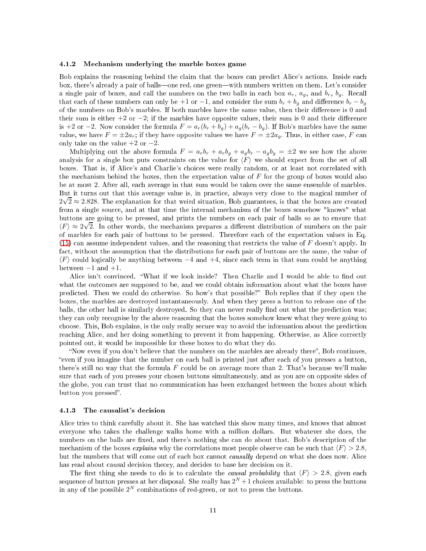#### <span id="page-10-0"></span>4.1.2 Me
hanism underlying the marble boxes game

Bob explains the reasoning behind the claim that the boxes can predict Alice's actions. Inside each box, there's already a pair of balls—one red, one green—with numbers written on them. Let's consider a single pair of boxes, and call the numbers on the two balls in each box  $a_r$ ,  $a_g$ , and  $b_r$ ,  $b_g$ . Recall that each of these numbers can only be +1 or -1, and consider the sum  $b_r + b_q$  and difference  $b_r - b_q$ of the numbers on Bob's marbles. If both marbles have the same value, then their difference is 0 and their sum is either  $+2$  or  $-2$ ; if the marbles have opposite values, their sum is 0 and their difference is +2 or −2. Now consider the formula  $F = a_r(b_r + b_q) + a_q(b_r - b_q)$ . If Bob's marbles have the same value, we have  $F = \pm 2a_r$ ; if they have opposite values we have  $F = \pm 2a_q$ . Thus, in either case, F can only take on the value  $+2$  or  $-2$ .

Multiplying out the above formula  $F = a_r b_r + a_r b_g + a_g b_r - a_g b_g = \pm 2$  we see how the above analysis for a single box puts constraints on the value for  $\langle F \rangle$  we should expect from the set of all boxes. That is, if Alice's and Charlie's choices were really random, or at least not correlated with the mechanism behind the boxes, then the expectation value of F for the group of boxes would also be at most 2. After all, ea
h average in that sum would be taken over the same ensemble of marbles. But it turns out that this average value is, in practice, always very close to the magical number of  $2\sqrt{2} \approx 2.828$ . The explanation for that weird situation, Bob guarantees, is that the boxes are created from a single sour
e, and at that time the internal me
hanism of the boxes somehow "knows" what buttons are going to be pressed, and prints the numbers on ea
h pair of balls so as to ensure that  $\langle F \rangle \approx 2\sqrt{2}$ . In other words, the mechanism prepares a different distribution of numbers on the pair of marbles for each pair of buttons to be pressed. Therefore each of the expectation values in Eq.  $(15)$  can assume independent values, and the reasoning that restricts the value of F doesn't apply. In fact, without the assumption that the distributions for each pair of buttons are the same, the value of  $\langle F \rangle$  could logically be anything between  $-4$  and  $+4$ , since each term in that sum could be anything between  $-1$  and  $+1$ .

Alice isn't convinced. "What if we look inside? Then Charlie and I would be able to find out what the outcomes are supposed to be, and we could obtain information about what the boxes have predicted. Then we could do otherwise. So how's that possible?" Bob replies that if they open the boxes, the marbles are destroyed instantaneously. And when they press a button to release one of the balls, the other ball is similarly destroyed. So they can never really find out what the prediction was; they an only re
ognise by the above reasoning that the boxes somehow knew what they were going to choose. This, Bob explains, is the only really secure way to avoid the information about the prediction reaching Alice, and her doing something to prevent it from happening. Otherwise, as Alice correctly pointed out, it would be impossible for these boxes to do what they do.

"Now even if you don't believe that the numbers on the marbles are already there", Bob continues, "even if you imagine that the number on each ball is printed just after each of you presses a button, there's still no way that the formula  $F$  could be on average more than 2. That's because we'll make sure that each of you presses your chosen buttons simultaneously, and as you are on opposite sides of the globe, you can trust that no communication has been exchanged between the boxes about which button you pressed".

#### <span id="page-10-1"></span>4.1.3 The ausalist's de
ision

Alice tries to think carefully about it. She has watched this show many times, and knows that almost everyone who takes the hallenge walks home with a million dollars. But whatever she does, the numbers on the balls are fixed, and there's nothing she can do about that. Bob's description of the mechanism of the boxes *explains* why the correlations most people observe can be such that  $\langle F \rangle > 2.8$ , but the numbers that will come out of each box cannot *causally* depend on what she does now. Alice has read about causal decision theory, and decides to base her decision on it.

The first thing she needs to do is to calculate the *causal probability* that  $\langle F \rangle > 2.8$ , given each sequence of button presses at her disposal. She really has  $2^N+1$  choices available: to press the buttons in any of the possible  $2^N$  combinations of red-green, or not to press the buttons.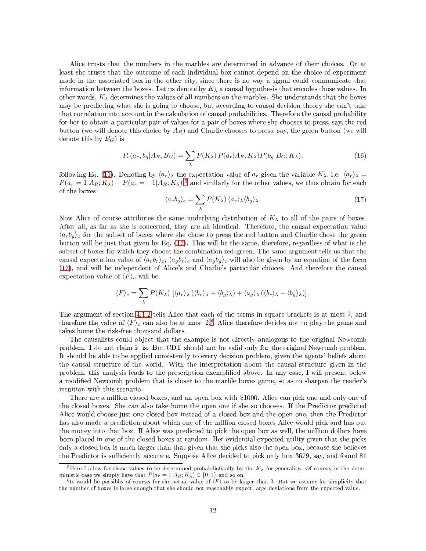Alice trusts that the numbers in the marbles are determined in advance of their choices. Or at least she trusts that the outcome of each individual box cannot depend on the choice of experiment made in the associated box in the other city, since there is no way a signal could communicate that information between the boxes. Let us denote by  $K_{\lambda}$  a causal hypothesis that encodes those values. In other words,  $K_{\lambda}$  determines the values of all numbers on the marbles. She understands that the boxes may be predicting what she is going to choose, but according to causal decision theory she can't take that correlation into account in the calculation of causal probabilities. Therefore the causal probability for her to obtain a parti
ular pair of values for a pair of boxes where she hooses to press, say, the red button (we will denote this choice by  $A_R$ ) and Charlie chooses to press, say, the green button (we will denote this by  $B_G$ ) is

$$
P_c(a_r, b_g | A_R, B_G) = \sum_{\lambda} P(K_{\lambda}) P(a_r | A_R; K_{\lambda}) P(b_g | B_G; K_{\lambda}), \qquad (16)
$$

following Eq. [\(11\)](#page-5-2). Denoting by  $\langle a_r \rangle_\lambda$  the expectation value of  $a_r$  given the variable  $K_\lambda$ , i.e.  $\langle a_r \rangle_\lambda =$  $P(a_r = 1 | A_R; K_\lambda) - P(a_r = -1 | A_R; K_\lambda)$ ,<sup>[5](#page-11-0)</sup> and similarly for the other values, we thus obtain for each of the boxes

<span id="page-11-1"></span>
$$
\langle a_r b_g \rangle_c = \sum_{\lambda} P(K_{\lambda}) \langle a_r \rangle_{\lambda} \langle b_g \rangle_{\lambda}.
$$
 (17)

Now Alice of course attributes the same underlying distribution of  $K_{\lambda}$  to all of the pairs of boxes. After all, as far as she is on
erned, they are all identi
al. Therefore, the ausal expe
tation value  $\langle a_r b_q \rangle_c$  for the subset of boxes where she chose to press the red button and Charlie chose the green button will be just that given by Eq. [\(17\)](#page-11-1). This will be the same, therefore, regardless of what is the subset of boxes for which they choose the combination red-green. The same argument tells us that the causal expectation value of  $\langle a_r b_r \rangle_c$ ,  $\langle a_g b_r \rangle_c$  and  $\langle a_g b_g \rangle_c$  will also be given by an equation of the form [\(17\)](#page-11-1), and will be independent of Ali
e's and Charlie's parti
ular hoi
es. And therefore the ausal expectation value of  $\langle F \rangle_c$  will be

$$
\langle F \rangle_c = \sum_{\lambda} P(K_{\lambda}) \left[ \langle a_r \rangle_{\lambda} \left( \langle b_r \rangle_{\lambda} + \langle b_g \rangle_{\lambda} \right) + \langle a_g \rangle_{\lambda} \left( \langle b_r \rangle_{\lambda} - \langle b_g \rangle_{\lambda} \right) \right].
$$

The argument of section [4.1.2](#page-10-0) tells Alice that each of the terms in square brackets is at most 2, and therefore the value of  $\langle F \rangle_c$  can also be at most 2.<sup>[6](#page-11-2)</sup> Alice therefore decides not to play the game and takes home the risk-free thousand dollars.

The causalists could object that the example is not directly analogous to the original Newcomb problem. I do not laim it is. But CDT should not be valid only for the original New
omb problem. It should be able to be applied consistently to every decision problem, given the agents' beliefs about the causal structure of the world. With the interpretation about the causal structure given in the problem, this analysis leads to the pres
ription exemplied above. In any ase, I will present below a modified Newcomb problem that is closer to the marble boxes game, so as to sharpen the reader's intuition with this s
enario.

There are a million closed boxes, and an open box with \$1000. Alice can pick one and only one of the closed boxes. She can also take home the open one if she so chooses. If the Predictor predicted Alice would choose just one closed box instead of a closed box and the open one, then the Predictor has also made a prediction about which one of the million closed boxes Alice would pick and has put the money into that box. If Alice was predicted to pick the open box as well, the million dollars have been placed in one of the closed boxes at random. Her evidential expected utility given that she picks only a losed box is mu
h larger than that given that she pi
ks also the open box, be
ause she believes the Predictor is sufficiently accurate. Suppose Alice decided to pick only box 3679, say, and found \$1

<span id="page-11-0"></span><sup>&</sup>lt;sup>5</sup>Here I allow for those values to be determined probabilistically by the  $K_{\lambda}$  for generality. Of course, in the deterministic case we simply have that  $P(a_r = 1 | A_R; K_\lambda) \in \{0, 1\}$  and so on.

<span id="page-11-2"></span> $^6$  It would be possible, of course, for the actual value of  $\langle F \rangle$  to be larger than 2. But we assume for simplicity that the number of boxes is large enough that she should not reasonably expect large deviations from the expected value.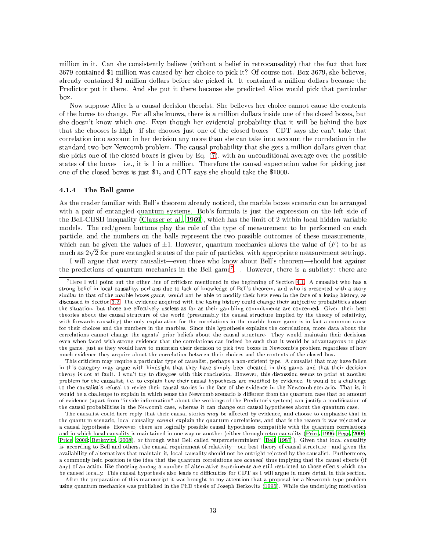million in it. Can she consistently believe (without a belief in retrocausality) that the fact that box 3679 ontained \$1 million was aused by her hoi
e to pi
k it? Of ourse not. Box 3679, she believes, already ontained \$1 million dollars before she pi
ked it. It ontained a million dollars be
ause the Predictor put it there. And she put it there because she predicted Alice would pick that particular box.

Now suppose Alice is a causal decision theorist. She believes her choice cannot cause the contents of the boxes to hange. For all she knows, there is a million dollars inside one of the losed boxes, but she doesn't know which one. Even though her evidential probability that it will be behind the box that she chooses is high—if she chooses just one of the closed boxes—CDT says she can't take that correlation into account in her decision any more than she can take into account the correlation in the standard two-box Newcomb problem. The causal probability that she gets a million dollars given that she picks one of the closed boxes is given by Eq. [\(7\)](#page-4-4), with an unconditional average over the possible states of the boxes—i.e., it is 1 in a million. Therefore the causal expectation value for picking just one of the losed boxes is just \$1, and CDT says she should take the \$1000.

#### <span id="page-12-0"></span>4.1.4 The Bell game

As the reader familiar with Bell's theorem already noti
ed, the marble boxes s
enario an be arranged with a pair of entangled quantum systems. Bob's formula is just the expression on the left side of the Bell-CHSH inequality [\(Clauser](#page-17-6) et al., [1969](#page-17-6)), whi
h has the limit of 2 within lo
al hidden variable models. The red/green buttons play the role of the type of measurement to be performed on each parti
le, and the numbers on the balls represent the two possible out
omes of these measurements, which can be given the values of  $\pm 1$ . However, quantum mechanics allows the value of  $\langle F \rangle$  to be as much as  $2\sqrt{2}$  for pure entangled states of the pair of particles, with appropriate measurement settings.

I will argue that every causalist—even those who know about Bell's theorem—should bet against the predictions of quantum mechanics in the Bell game . . . However, there is a subtlety: there are

The causalist could here reply that their causal stories may be affected by evidence, and choose to emphasise that in the quantum scenario, local causality cannot explain the quantum correlations, and that is the reason it was rejected as a causal hypothesis. However, there are logically possible causal hypotheses compatible with the quantum correlations and in which local causality is maintained in one way or another (either through retro-causality (Price, [1996](#page-18-17); [Pegg,](#page-18-18) [2008;](#page-18-18) Price, [2008](#page-18-19); [Berkovitz](#page-17-7), [2008\)](#page-17-7), or through what Bell called "superdeterminism" [\(Bell,](#page-17-4) [1987](#page-17-4))). Given that local causality is, according to Bell and others, the causal requirement of relativity—our best theory of causal structure—and given the availability of alternatives that maintain it, local causality should not be outright rejected by the causalist. Furthermore, a commonly held position is the idea that the quantum correlations are acausal, thus implying that the causal effects (if any) of an action like choosing among a number of alternative experiments are still restricted to those effects which can be caused locally. This causal hypothesis also leads to difficulties for CDT as I will argue in more detail in this section.

After the preparation of this manuscript it was brought to my attention that a proposal for a Newcomb-type problem using quantum mechanics was published in the PhD thesis of Joseph Berkovitz [\(1995](#page-17-8)). While the underlying motivation

<span id="page-12-1"></span><sup>&</sup>lt;sup>7</sup> Here I will point out the other line of criticism mentioned in the beginning of Section [4.1.](#page-9-0) A causalist who has a strong belief in local causality, perhaps due to lack of knowledge of Bell's theorem, and who is presented with a story similar to that of the marble boxes game, would not be able to modify their bets even in the face of a losing history, as discussed in Section [3.2.](#page-6-0) The evidence acquired with the losing history could change their subjective probabilities about the situation, but those are effectively useless as far as their gambling commitments are concerned. Given their best theories about the causal structure of the world (presumably the causal structure implied by the theory of relativity, with forwards causality) the only explanation for the correlations in the marble boxes game is in fact a common cause for their choices and the numbers in the marbles. Since this hypothesis explains the correlations, more data about the correlations cannot change the agents' prior beliefs about the causal structure. They would maintain their decisions even when faced with strong evidence that the correlations can indeed be such that it would be advantageous to play the game, just as they would have to maintain their decision to pick two boxes in Newcomb's problem regardless of how much evidence they acquire about the correlation between their choices and the contents of the closed box.

This criticism may require a particular type of causalist, perhaps a non-existent type. A causalist that may have fallen in this category may argue with hindsight that they have simply been cheated in this game, and that their decision theory is not at fault. I won't try to disagree with this conclusion. However, this discussion seems to point at another problem for the causalist, i.e. to explain how their causal hypotheses are modified by evidence. It would be a challenge to the ausalist's refusal to revise their ausal stories in the fa
e of the eviden
e in the New
omb s
enario. That is, it would be a challenge to explain in which sense the Newcomb scenario is different from the quantum case that no amount of evidence (apart from "inside information" about the workings of the Predictor's system) can justify a modification of the causal probabilities in the Newcomb case, whereas it can change our causal hypotheses about the quantum case.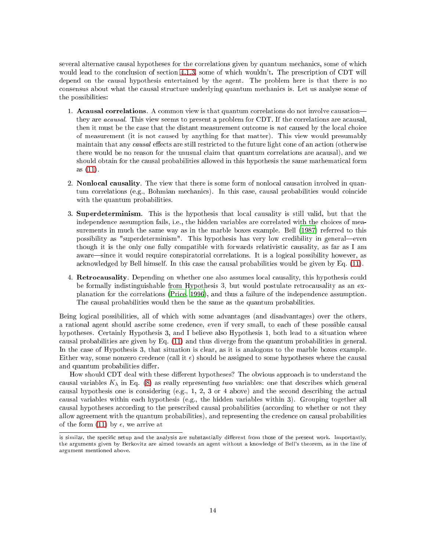several alternative causal hypotheses for the correlations given by quantum mechanics, some of which would lead to the conclusion of section [4.1.3,](#page-10-1) some of which wouldn't. The prescription of CDT will depend on the causal hypothesis entertained by the agent. The problem here is that there is no consensus about what the causal structure underlying quantum mechanics is. Let us analyse some of the possibilities:

- 1. **Acausal correlations**. A common view is that quantum correlations do not involve causation they are *acausal*. This view seems to present a problem for CDT. If the correlations are acausal, then it must be the case that the distant measurement outcome is not caused by the local choice of measurement (it is not aused by anything for that matter). This view would presumably maintain that any causal effects are still restricted to the future light cone of an action (otherwise there would be no reason for the unusual claim that quantum correlations are acausal), and we should obtain for the causal probabilities allowed in this hypothesis the same mathematical form as [\(11\)](#page-5-2).
- 2. Nonlocal causality. The view that there is some form of nonlocal causation involved in quantum correlations (e.g., Bohmian mechanics). In this case, causal probabilities would coincide with the quantum probabilities.
- 3. Superdeterminism. This is the hypothesis that lo
al ausality is still valid, but that the independence assumption fails, i.e., the hidden variables are correlated with the choices of measurements in mu
h the same way as in the marble boxes example. Bell [\(1987](#page-17-4)) referred to this possibility as "superdeterminism". This hypothesis has very low credibility in general—even though it is the only one fully compatible with forwards relativistic causality, as far as I am aware—since it would require conspiratorial correlations. It is a logical possibility however, as acknowledged by Bell himself. In this case the causal probabilities would be given by Eq. [\(11\)](#page-5-2).
- 4. Retrocausality. Depending on whether one also assumes local causality, this hypothesis could be formally indistinguishable from Hypothesis 3, but would postulate retrocausality as an explanation for the orrelations [\(Pri
e](#page-18-17), [1996\)](#page-18-17), and thus a failure of the independen
e assumption. The ausal probabilities would then be the same as the quantum probabilities.

Being logical possibilities, all of which with some advantages (and disadvantages) over the others, a rational agent should ascribe some credence, even if very small, to each of these possible causal hypotheses. Certainly Hypothesis 3, and I believe also Hypothesis 1, both lead to a situation where ausal probabilities are given by Eq. [\(11\)](#page-5-2) and thus diverge from the quantum probabilities in general. In the case of Hypothesis 3, that situation is clear, as it is analogous to the marble boxes example. Either way, some nonzero credence (call it  $\epsilon$ ) should be assigned to some hypotheses where the causal and quantum probabilities differ.

How should CDT deal with these different hypotheses? The obvious approach is to understand the causal variables  $K_{\lambda}$  in Eq. [\(8\)](#page-5-0) as really representing two variables: one that describes which general causal hypothesis one is considering (e.g., 1, 2, 3 or 4 above) and the second describing the actual ausal variables within ea
h hypothesis (e.g., the hidden variables within 3). Grouping together all causal hypotheses according to the prescribed causal probabilities (according to whether or not they allow agreement with the quantum probabilities), and representing the reden
e on ausal probabilities of the form [\(11\)](#page-5-2) by  $\epsilon$ , we arrive at

is similar, the specific setup and the analysis are substantially different from those of the present work. Importantly, the arguments given by Berkovitz are aimed towards an agent without a knowledge of Bell's theorem, as in the line of argument mentioned above.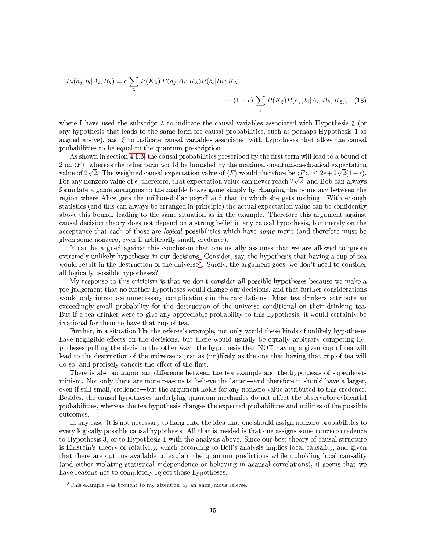$$
P_c(a_j, b_l | A_i, B_k) = \epsilon \sum_{\lambda} P(K_{\lambda}) P(a_j | A_i; K_{\lambda}) P(b_l | B_k; K_{\lambda}) + (1 - \epsilon) \sum_{\xi} P(K_{\xi}) P(a_j, b_l | A_i, B_k; K_{\xi}), \quad (18)
$$

where I have used the subscript  $\lambda$  to indicate the causal variables associated with Hypothesis 3 (or any hypothesis that leads to the same form for causal probabilities, such as perhaps Hypothesis 1 as argued above), and  $\xi$  to indicate causal variables associated with hypotheses that allow the causal probabilities to be equal to the quantum pres
ription.

As shown in section [4.1.3,](#page-10-1) the causal probabilities prescribed by the first term will lead to a bound of 2 on  $\langle F \rangle$ , whereas the other term would be bounded by the maximal quantum-mechanical expectation value of  $2\sqrt{2}$ . The weighted causal expectation value of  $\langle F \rangle$  would therefore be  $\langle F \rangle_c \leq 2\epsilon + 2\sqrt{2}(1-\epsilon)$ . For any nonzero value of  $\epsilon$ , therefore, that expectation value can never reach  $2\sqrt{2}$ , and Bob can always formulate a game analogous to the marble boxes game simply by hanging the boundary between the region where Alice gets the million-dollar payoff and that in which she gets nothing. With enough statistics (and this can always be arranged in principle) the actual expectation value can be confidently above this bound, leading to the same situation as in the example. Therefore this argument against causal decision theory does not depend on a strong belief in any causal hypothesis, but merely on the acceptance that each of those are *logical* possibilities which have *some* merit (and therefore must be given some nonzero, even if arbitrarily small, credence).

It can be argued against this conclusion that one usually assumes that we are allowed to ignore extremely unlikely hypotheses in our decisions. Consider, say, the hypothesis that having a cup of tea would result in the destruction of the universe<sup>8</sup>. Surely, the argument goes, we don't need to consider all logi
ally possible hypotheses?

My response to this criticism is that we don't consider all possible hypotheses because we make a pre-judgement that no further hypotheses would hange our de
isions, and that further onsiderations would only introduce unnecessary complications in the calculations. Most tea drinkers attribute an exceedingly small probability for the destruction of the universe conditional on their drinking tea. But if a tea drinker were to give any appre
iable probability to this hypothesis, it would ertainly be irrational for them to have that up of tea.

Further, in a situation like the referee's example, not only would these kinds of unlikely hypotheses have negligible effects on the decisions, but there would usually be equally arbitrary competing hypotheses pulling the decision the other way: the hypothesis that NOT having a given cup of tea will lead to the destruction of the universe is just as (un)likely as the one that having that cup of tea will do so, and precisely cancels the effect of the first.

There is also an important difference between the tea example and the hypothesis of superdeterminism. Not only there are more reasons to believe the latter—and therefore it should have a larger, even if still small, credence—but the argument holds for any nonzero value attributed to this credence. Besides, the causal hypotheses underlying quantum mechanics do not affect the observable evidential probabilities, whereas the tea hypothesis hanges the expe
ted probabilities and utilities of the possible out
omes.

In any case, it is not necessary to hang onto the idea that one should assign nonzero probabilities to every logically possible causal hypothesis. All that is needed is that one assigns some nonzero credence to Hypothesis 3, or to Hypothesis 1 with the analysis above. Sin
e our best theory of ausal stru
ture is Einstein's theory of relativity, which according to Bell's analysis implies local causality, and given that there are options available to explain the quantum predictions while upholding local causality (and either violating statisti
al independen
e or believing in a
ausal orrelations), it seems that we have reasons not to completely reject those hypotheses.

<span id="page-14-0"></span><sup>8</sup>This example was brought to my attention by an anonymous referee.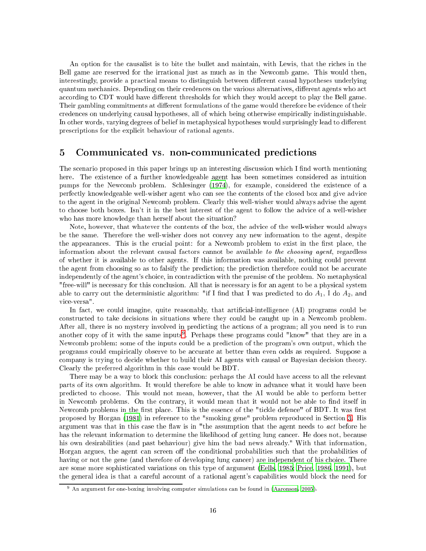An option for the causalist is to bite the bullet and maintain, with Lewis, that the riches in the Bell game are reserved for the irrational just as mu
h as in the New
omb game. This would then, interestingly, provide a practical means to distinguish between different causal hypotheses underlying quantum mechanics. Depending on their credences on the various alternatives, different agents who act according to CDT would have different thresholds for which they would accept to play the Bell game. Their gambling commitments at different formulations of the game would therefore be evidence of their reden
es on underlying ausal hypotheses, all of whi
h being otherwise empiri
ally indistinguishable. In other words, varying degrees of belief in metaphysical hypotheses would surprisingly lead to different pres
riptions for the expli
it behaviour of rational agents.

# <span id="page-15-0"></span><sup>5</sup> Communi
ated vs. nonommuni
ated predi
tions

The scenario proposed in this paper brings up an interesting discussion which I find worth mentioning here. The existence of a further knowledgeable agent has been sometimes considered as intuition pumps for the New
omb problem. S
hlesinger [\(1974](#page-18-20)), for example, onsidered the existen
e of a perfectly knowledgeable well-wisher agent who can see the contents of the closed box and give advice to the agent in the original New
omb problem. Clearly this well-wisher would always advise the agent to choose both boxes. Isn't it in the best interest of the agent to follow the advice of a well-wisher who has more knowledge than herself about the situation?

Note, however, that whatever the ontents of the box, the advi
e of the well-wisher would always be the same. Therefore the well-wisher does not convey any new information to the agent, despite the appearances. This is the crucial point: for a Newcomb problem to exist in the first place, the information about the relevant causal factors cannot be available to the choosing agent, regardless of whether it is available to other agents. If this information was available, nothing could prevent the agent from choosing so as to falsify the prediction; the prediction therefore could not be accurate independently of the agent's choice, in contradiction with the premise of the problem. No metaphysical "free-will" is necessary for this conclusion. All that is necessary is for an agent to be a physical system able to carry out the deterministic algorithm: "if I find that I was predicted to do  $A_1$ , I do  $A_2$ , and vice-versa".

In fact, we could imagine, quite reasonably, that artificial-intelligence (AI) programs could be constructed to take decisions in situations where they could be caught up in a Newcomb problem. After all, there is no mystery involved in predicting the actions of a program; all you need is to run another copy of it with the same inputs". Perhaps these programs could "know" that they are in a Newcomb problem: some of the inputs could be a prediction of the program's own output, which the programs could empirically observe to be accurate at better than even odds as required. Suppose a company is trying to decide whether to build their AI agents with causal or Bayesian decision theory. Clearly the preferred algorithm in this ase would be BDT.

There may be a way to block this conclusion: perhaps the AI could have access to all the relevant parts of its own algorithm. It would therefore be able to know in advan
e what it would have been predi
ted to hoose. This would not mean, however, that the AI would be able to perform better in Newcomb problems. On the contrary, it would mean that it would not be able to find itself in Newcomb problems in the first place. This is the essence of the "tickle defence" of BDT. It was first proposed by Horgan [\(1981\)](#page-18-13) in referen
e to the "smoking gene" problem reprodu
ed in Se
tion [3.](#page-3-0) His argument was that in this case the flaw is in "the assumption that the agent needs to  $act$  before he has the relevant information to determine the likelihood of getting lung cancer. He does not, because his own desirabilities (and past behaviour) give him the bad news already." With that information, Horgan argues, the agent can screen off the conditional probabilities such that the probabilities of having or not the gene (and therefore of developing lung cancer) are independent of his choice. There are some more sophisti
ated variations on this type of argument [\(Eells,](#page-17-9) [1985;](#page-17-9) [Pri
e,](#page-18-14) [1986,](#page-18-14) [1991\)](#page-18-16), but the general idea is that a careful account of a rational agent's capabilities would block the need for

<span id="page-15-1"></span><sup>-</sup> An argument for one-boxing involving computer simulations can be found in [\(Aaronson](#page-17-10), [2005](#page-17-10)).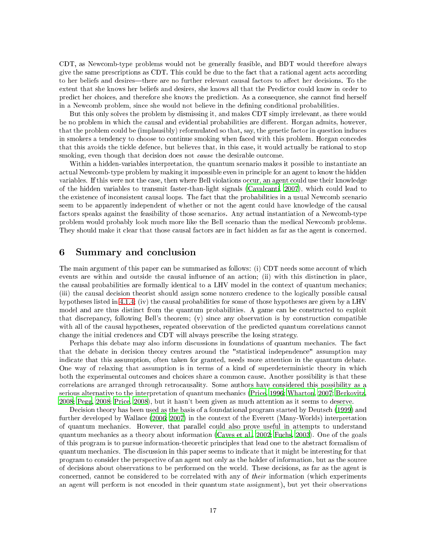CDT, as New
omb-type problems would not be generally feasible, and BDT would therefore always give the same prescriptions as CDT. This could be due to the fact that a rational agent acts according to her beliefs and desires—there are no further relevant causal factors to affect her decisions. To the extent that she knows her beliefs and desires, she knows all that the Predictor could know in order to predict her choices, and therefore she knows the prediction. As a consequence, she cannot find herself in a New
omb problem, sin
e she would not believe in the dening onditional probabilities.

But this only solves the problem by dismissing it, and makes CDT simply irrelevant, as there would be no problem in which the causal and evidential probabilities are different. Horgan admits, however, that the problem could be (implausibly) reformulated so that, say, the genetic factor in question induces in smokers a tendency to choose to continue smoking when faced with this problem. Horgan concedes that this avoids the ti
kle defen
e, but believes that, in this ase, it would a
tually be rational to stop smoking, even though that decision does not *cause* the desirable outcome.

Within a hidden-variables interpretation, the quantum s
enario makes it possible to instantiate an actual Newcomb-type problem by making it impossible even in principle for an agent to know the hidden variables. If this were not the case, then where Bell violations occur, an agent could use their knowledge of the hidden variables to transmit faster-than-light signals (Cavalcanti, [2007\)](#page-17-11), which could lead to the existence of inconsistent causal loops. The fact that the probabilities in a usual Newcomb scenario seem to be apparently independent of whether or not the agent could have knowledge of the causal factors speaks against the feasibility of those scenarios. Any actual instantiation of a Newcomb-type problem would probably look mu
h more like the Bell s
enario than the medi
al New
omb problems. They should make it clear that those causal factors are in fact hidden as far as the agent is concerned.

#### <span id="page-16-0"></span>Summary and conclusion 6

The main argument of this paper can be summarised as follows: (i) CDT needs some account of which events are within and outside the causal influence of an action; (ii) with this distinction in place, the causal probabilities are formally identical to a LHV model in the context of quantum mechanics; (iii) the causal decision theorist should assign some nonzero credence to the logically possible causal hypotheses listed in [4.1.4;](#page-12-0) (iv) the causal probabilities for some of those hypotheses are given by a LHV model and are thus distinct from the quantum probabilities. A game can be constructed to exploit that discrepancy, following Bell's theorem; (v) since any observation is by construction compatible with all of the causal hypotheses, repeated observation of the predicted quantum correlations cannot hange the initial reden
es and CDT will always pres
ribe the losing strategy.

Perhaps this debate may also inform discussions in foundations of quantum mechanics. The fact that the debate in decision theory centres around the "statistical independence" assumption may indi
ate that this assumption, often taken for granted, needs more attention in the quantum debate. One way of relaxing that assumption is in terms of a kind of superdeterministic theory in which both the experimental outcomes and choices share a common cause. Another possibility is that these orrelations are arranged through retro
ausality. Some authors have onsidered this possibility as a serious alternative to the interpretation of quantum mechanics (Price, [1996;](#page-18-17) [Wharton](#page-19-1), [2007;](#page-19-1) [Berkovitz](#page-17-7), [2008](#page-17-7); [Pegg,](#page-18-18) [2008;](#page-18-18) [Pri
e](#page-18-19), [2008\)](#page-18-19), but it hasn't been given as mu
h attention as it seems to deserve.

Decision theory has been used as the basis of a foundational program started by Deutsch [\(1999\)](#page-17-3) and further developed by Wallace [\(2006;](#page-18-7) [2007](#page-19-0)) in the context of the Everett (Many-Worlds) interpretation of quantum me
hani
s. However, that parallel ould also prove useful in attempts to understand quantum mechanics as a theory about information [\(Caves](#page-17-2) et al., [2002;](#page-17-2) Fuchs, [2003](#page-18-5)). One of the goals of this program is to pursue information-theoretic principles that lead one to the abstract formalism of quantum me
hani
s. The dis
ussion in this paper seems to indi
ate that it might be interesting for that program to onsider the perspe
tive of an agent not only as the holder of information, but as the sour
e of de
isions about observations to be performed on the world. These de
isions, as far as the agent is concerned, cannot be considered to be correlated with any of *their* information (which experiments an agent will perform is not en
oded in their quantum state assignment), but yet their observations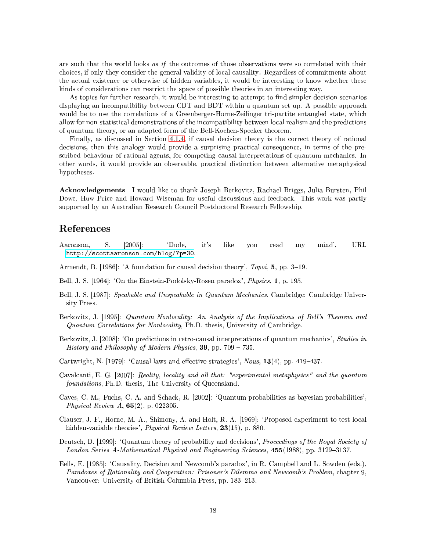are such that the world looks as if the outcomes of those observations were so correlated with their hoi
es, if only they onsider the general validity of lo
al ausality. Regardless of ommitments about the a
tual existen
e or otherwise of hidden variables, it would be interesting to know whether these kinds of considerations can restrict the space of possible theories in an interesting way.

As topics for further research, it would be interesting to attempt to find simpler decision scenarios displaying an incompatibility between CDT and BDT within a quantum set up. A possible approach would be to use the correlations of a Greenberger-Horne-Zeilinger tri-partite entangled state, which allow for non-statistical demonstrations of the incompatibility between local realism and the predictions of quantum theory, or an adapted form of the Bell-Ko
hen-Spe
ker theorem.

Finally, as discussed in Section [4.1.4,](#page-12-0) if causal decision theory is the correct theory of rational decisions, then this analogy would provide a surprising practical consequence, in terms of the prescribed behaviour of rational agents, for competing causal interpretations of quantum mechanics. In other words, it would provide an observable, practical distinction between alternative metaphysical hypotheses.

Acknowledgements I would like to thank Joseph Berkovitz, Rachael Briggs, Julia Bursten, Phil Dowe, Huw Price and Howard Wiseman for useful discussions and feedback. This work was partly supported by an Australian Resear
h Coun
il Postdo
toral Resear
h Fellowship.

# Referen
es

- <span id="page-17-10"></span>Aaronson, S. [2005]: 'Dude, it's like you read my mind', URL [http://s
ottaaronson.
om/blog/?p=30.](http://scottaaronson.com/blog/?p=30)
- <span id="page-17-5"></span>Armendt, B. [1986]: 'A foundation for causal decision theory', Topoi, 5, pp. 3–19.
- <span id="page-17-0"></span>Bell, J. S. [1964]: 'On the Einstein-Podolsky-Rosen paradox', *Physics*, 1, p. 195.
- <span id="page-17-4"></span>Bell, J. S. [1987]: Speakable and Unspeakable in Quantum Mechanics, Cambridge: Cambridge University Press.
- <span id="page-17-8"></span>Berkovitz, J. [1995]: Quantum Nonlocality: An Analysis of the Implications of Bell's Theorem and Quantum Correlations for Nonlo
ality, Ph.D. thesis, University of Cambridge.
- <span id="page-17-7"></span>Berkovitz, J. [2008]: 'On predictions in retro-causal interpretations of quantum mechanics', Studies in History and Philosophy of Modern Physics,  $39$ , pp.  $709 - 735$ .
- <span id="page-17-1"></span>Cartwright, N.  $[1979]$ : 'Causal laws and effective strategies', Nous, 13(4), pp. 419–437.
- <span id="page-17-11"></span>Cavalcanti, E. G. [2007]: Reality, locality and all that: "experimental metaphysics" and the quantum foundations, Ph.D. thesis, The University of Queensland.
- <span id="page-17-2"></span>Caves, C. M., Fuchs, C. A. and Schack, R. [2002]: 'Quantum probabilities as bayesian probabilities', Physi
al Review A, 65(2), p. 022305.
- <span id="page-17-6"></span>Clauser, J. F., Horne, M. A., Shimony, A. and Holt, R. A. [1969]: 'Proposed experiment to test local hidden-variable theories', *Physical Review Letters*, 23(15), p. 880.
- <span id="page-17-3"></span>Deutsch, D. [1999]: 'Quantum theory of probability and decisions', Proceedings of the Royal Society of London Series A-Mathematical Physical and Engineering Sciences, 455(1988), pp. 3129–3137.
- <span id="page-17-9"></span>Eells, E. [1985]: 'Causality, Decision and Newcomb's paradox', in R. Campbell and L. Sowden (eds.), Paradoxes of Rationality and Cooperation: Prisoner's Dilemma and Newcomb's Problem, chapter 9, Vancouver: University of British Columbia Press, pp. 183-213.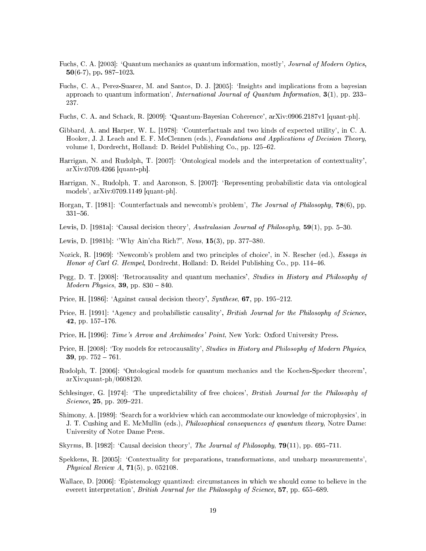- <span id="page-18-5"></span>Fuchs, C. A. [2003]: 'Quantum mechanics as quantum information, mostly', *Journal of Modern Optics*, 50(6-7), pp. 987-1023.
- <span id="page-18-6"></span>Fuchs, C. A., Perez-Suarez, M. and Santos, D. J. [2005]: 'Insights and implications from a bayesian approach to quantum information', International Journal of Quantum Information, 3(1), pp. 233– 237.
- <span id="page-18-12"></span>Fuchs, C. A. and Schack, R. [2009]: 'Quantum-Bayesian Coherence', arXiv:0906.2187v1 [quant-ph].
- <span id="page-18-2"></span>Gibbard, A. and Harper, W. L. [1978]: 'Counterfactuals and two kinds of expected utility', in C. A. Hooker, J. J. Leach and E. F. McClennen (eds.), Foundations and Applications of Decision Theory, volume 1, Dordrecht, Holland: D. Reidel Publishing Co., pp. 125–62.
- <span id="page-18-11"></span>Harrigan, N. and Rudolph, T. [2007]: 'Ontological models and the interpretation of contextuality',  $arXiv:0709.4266$  [quant-ph].
- <span id="page-18-10"></span>Harrigan, N., Rudolph, T. and Aaronson, S. [2007]: 'Representing probabilistic data via ontological models',  $arXiv:0709.1149$  [quant-ph].
- <span id="page-18-13"></span>Horgan, T. [1981]: 'Counterfactuals and newcomb's problem', The Journal of Philosophy, 78(6), pp.
- <span id="page-18-3"></span>Lewis, D. [1981a]: 'Causal decision theory', Australasian Journal of Philosophy, 59(1), pp. 5–30.
- <span id="page-18-15"></span>Lewis, D. [1981b]: "Why Ain'cha Rich?", Nous, 15(3), pp. 377-380.
- <span id="page-18-1"></span>Nozick, R. [1969]: 'Newcomb's problem and two principles of choice', in N. Rescher (ed.), *Essays in* Honor of Carl G. Hempel, Dordrecht, Holland: D. Reidel Publishing Co., pp. 114–46.
- <span id="page-18-18"></span>Pegg, D. T. [2008]: 'Retrocausality and quantum mechanics', *Studies in History and Philosophy of Modern Physics*, **39**, pp.  $830 - 840$ .
- <span id="page-18-14"></span>Price, H. [1986]: 'Against causal decision theory', *Synthese*, 67, pp. 195–212.
- <span id="page-18-16"></span>Price, H. [1991]: 'Agency and probabilistic causality', British Journal for the Philosophy of Science, 42, pp. 157-176.
- <span id="page-18-17"></span>Price, H. [1996]: Time's Arrow and Archimedes' Point, New York: Oxford University Press.
- <span id="page-18-19"></span>Price, H. [2008]: 'Toy models for retrocausality', Studies in History and Philosophy of Modern Physics, 39, pp.  $752 - 761$ .
- <span id="page-18-9"></span>Rudolph, T. [2006]: 'Ontological models for quantum mechanics and the Kochen-Specker theorem', arXiv:quant-ph/0608120.
- <span id="page-18-20"></span>Schlesinger, G. [1974]: 'The unpredictability of free choices', *British Journal for the Philosophy of* Science, 25, pp. 209-221.
- <span id="page-18-0"></span>Shimony, A. [1989]: 'Search for a worldview which can accommodate our knowledge of microphysics', in J. T. Cushing and E. McMullin (eds.), *Philosophical consequences of quantum theory*, Notre Dame: University of Notre Dame Press.
- <span id="page-18-4"></span>Skyrms, B. [1982]: 'Causal decision theory', *The Journal of Philosophy*, **79**(11), pp. 695–711.
- <span id="page-18-8"></span>Spekkens, R. [2005]: 'Contextuality for preparations, transformations, and unsharp measurements', *Physical Review A*,  $71(5)$ , p. 052108.
- <span id="page-18-7"></span>Wallace, D. [2006]: 'Epistemology quantized: circumstances in which we should come to believe in the everett interpretation', British Journal for the Philosophy of Science, 57, pp. 655–689.